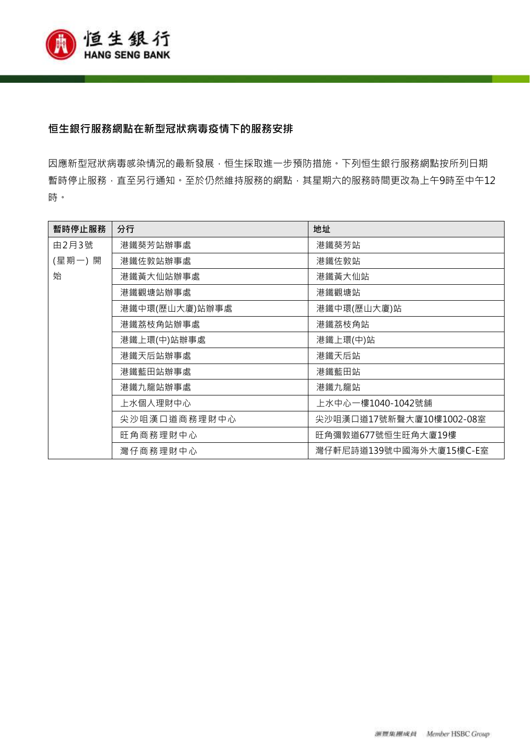

# **恒生銀行服務網點在新型冠狀病毒疫情下的服務安排**

因應新型冠狀病毒感染情況的最新發展,恒生採取進一步預防措施。下列恒生銀行服務網點按所列日期 暫時停止服務,直至另行通知。至於仍然維持服務的網點,其星期六的服務時間更改為上午9時至中午12 時。

| 暫時停止服務 | 分行             | 地址                       |
|--------|----------------|--------------------------|
| 由2月3號  | 港鐵葵芳站辦事處       | 港鐵葵芳站                    |
| (星期一)開 | 港鐵佐敦站辦事處       | 港鐵佐敦站                    |
| 始      | 港鐵黃大仙站辦事處      | 港鐵黃大仙站                   |
|        | 港鐵觀塘站辦事處       | 港鐵觀塘站                    |
|        | 港鐵中環(歷山大廈)站辦事處 | 港鐵中環(歷山大廈)站              |
|        | 港鐵荔枝角站辦事處      | 港鐵荔枝角站                   |
|        | 港鐵上環(中)站辦事處    | 港鐵上環(中)站                 |
|        | 港鐵天后站辦事處       | 港鐵天后站                    |
|        | 港鐵藍田站辦事處       | 港鐵藍田站                    |
|        | 港鐵九龍站辦事處       | 港鐵九龍站                    |
|        | 上水個人理財中心       | 上水中心一樓1040-1042號舖        |
|        | 尖沙咀漢口道商務理財中心   | 尖沙咀漢口道17號新聲大廈10樓1002-08室 |
|        | 旺角商務理財中心       | 旺角彌敦道677號恒生旺角大廈19樓       |
|        | 灣仔商務理財中心       | 灣仔軒尼詩道139號中國海外大廈15樓C-E室  |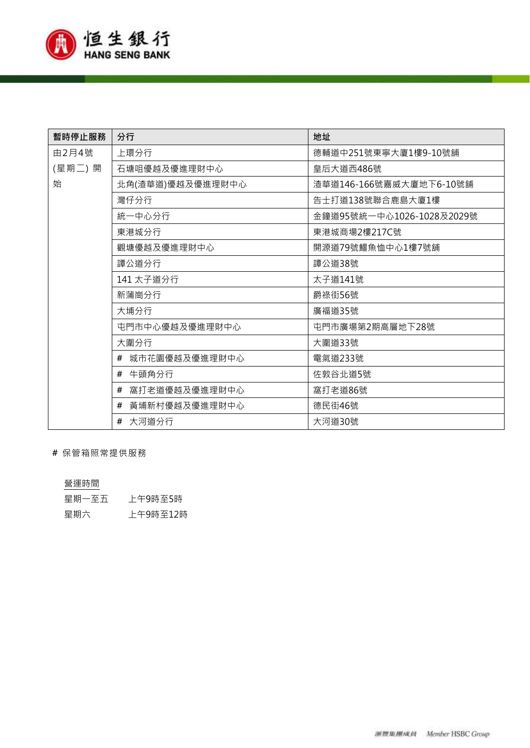

| 暫時停止服務 | 分行                 | 地址                        |
|--------|--------------------|---------------------------|
| 由2月4號  | 上環分行               | 德輔道中251號東寧大廈1樓9-10號舖      |
| (星期二)開 | 石塘咀優越及優進理財中心       | 皇后大道西486號                 |
| 始      | 北角(渣華道)優越及優進理財中心   | 渣華道146-166號嘉威大廈地下6-10號舖   |
|        | 灣仔分行               | 告士打道138號聯合鹿島大廈1樓          |
|        | 統一中心分行             | 金鐘道95號統一中心1026-1028及2029號 |
|        | 東港城分行              | 東港城商場2樓217C號              |
|        | 觀塘優越及優進理財中心        | 開源道79號鱷魚恤中心1樓7號舖          |
|        | 譚公道分行              | 譚公道38號                    |
|        | 141 太子道分行          | 太子道141號                   |
|        | 新蒲崗分行              | 爵祿街56號                    |
|        | 大埔分行               | 廣福道35號                    |
|        | 屯門市中心優越及優進理財中心     | 屯門市廣場第2期高層地下28號           |
|        | 大圍分行               | 大圍道33號                    |
|        | 城市花園優越及優進理財中心<br># | 電氣道233號                   |
|        | # 牛頭角分行            | 佐敦谷北道5號                   |
|        | 窩打老道優越及優進理財中心<br># | 窩打老道86號                   |
|        | 黃埔新村優越及優進理財中心      | 德民街46號                    |
|        | # 大河道分行            | 大河道30號                    |

 **#** 保管箱照常提供服務

# 營運時間

| 星期一至五 | 上午9時至5時  |
|-------|----------|
| 星期六   | 上午9時至12時 |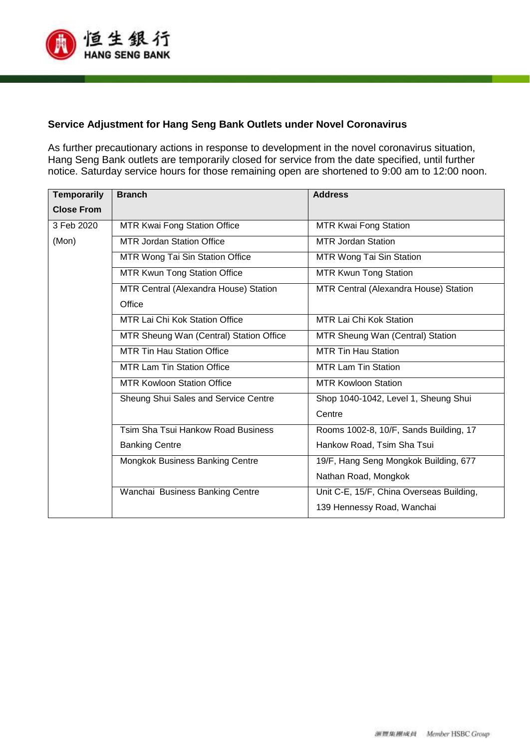

### **Service Adjustment for Hang Seng Bank Outlets under Novel Coronavirus**

As further precautionary actions in response to development in the novel coronavirus situation, Hang Seng Bank outlets are temporarily closed for service from the date specified, until further notice. Saturday service hours for those remaining open are shortened to 9:00 am to 12:00 noon.

| <b>Temporarily</b> | <b>Branch</b>                           | <b>Address</b>                           |
|--------------------|-----------------------------------------|------------------------------------------|
| <b>Close From</b>  |                                         |                                          |
| 3 Feb 2020         | MTR Kwai Fong Station Office            | <b>MTR Kwai Fong Station</b>             |
| (Mon)              | MTR Jordan Station Office               | MTR Jordan Station                       |
|                    | MTR Wong Tai Sin Station Office         | MTR Wong Tai Sin Station                 |
|                    | <b>MTR Kwun Tong Station Office</b>     | <b>MTR Kwun Tong Station</b>             |
|                    | MTR Central (Alexandra House) Station   | MTR Central (Alexandra House) Station    |
|                    | Office                                  |                                          |
|                    | <b>MTR Lai Chi Kok Station Office</b>   | MTR Lai Chi Kok Station                  |
|                    | MTR Sheung Wan (Central) Station Office | MTR Sheung Wan (Central) Station         |
|                    | <b>MTR Tin Hau Station Office</b>       | <b>MTR Tin Hau Station</b>               |
|                    | <b>MTR Lam Tin Station Office</b>       | <b>MTR Lam Tin Station</b>               |
|                    | <b>MTR Kowloon Station Office</b>       | <b>MTR Kowloon Station</b>               |
|                    | Sheung Shui Sales and Service Centre    | Shop 1040-1042, Level 1, Sheung Shui     |
|                    |                                         | Centre                                   |
|                    | Tsim Sha Tsui Hankow Road Business      | Rooms 1002-8, 10/F, Sands Building, 17   |
|                    | <b>Banking Centre</b>                   | Hankow Road, Tsim Sha Tsui               |
|                    | Mongkok Business Banking Centre         | 19/F, Hang Seng Mongkok Building, 677    |
|                    |                                         | Nathan Road, Mongkok                     |
|                    | Wanchai Business Banking Centre         | Unit C-E, 15/F, China Overseas Building, |
|                    |                                         | 139 Hennessy Road, Wanchai               |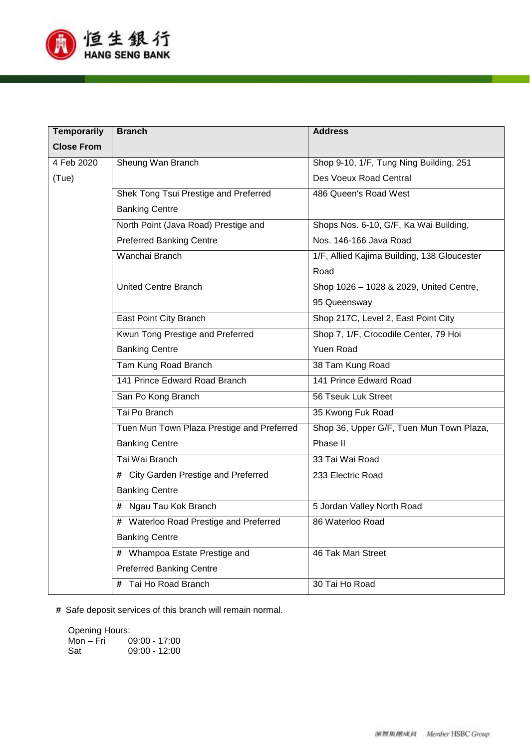

| <b>Temporarily</b> | <b>Branch</b>                              | <b>Address</b>                              |
|--------------------|--------------------------------------------|---------------------------------------------|
| <b>Close From</b>  |                                            |                                             |
| 4 Feb 2020         | Sheung Wan Branch                          | Shop 9-10, 1/F, Tung Ning Building, 251     |
| (Tue)              |                                            | Des Voeux Road Central                      |
|                    | Shek Tong Tsui Prestige and Preferred      | 486 Queen's Road West                       |
|                    | <b>Banking Centre</b>                      |                                             |
|                    | North Point (Java Road) Prestige and       | Shops Nos. 6-10, G/F, Ka Wai Building,      |
|                    | <b>Preferred Banking Centre</b>            | Nos. 146-166 Java Road                      |
|                    | Wanchai Branch                             | 1/F, Allied Kajima Building, 138 Gloucester |
|                    |                                            | Road                                        |
|                    | <b>United Centre Branch</b>                | Shop 1026 - 1028 & 2029, United Centre,     |
|                    |                                            | 95 Queensway                                |
|                    | East Point City Branch                     | Shop 217C, Level 2, East Point City         |
|                    | Kwun Tong Prestige and Preferred           | Shop 7, 1/F, Crocodile Center, 79 Hoi       |
|                    | <b>Banking Centre</b>                      | Yuen Road                                   |
|                    | Tam Kung Road Branch                       | 38 Tam Kung Road                            |
|                    | 141 Prince Edward Road Branch              | 141 Prince Edward Road                      |
|                    | San Po Kong Branch                         | 56 Tseuk Luk Street                         |
|                    | Tai Po Branch                              | 35 Kwong Fuk Road                           |
|                    | Tuen Mun Town Plaza Prestige and Preferred | Shop 36, Upper G/F, Tuen Mun Town Plaza,    |
|                    | <b>Banking Centre</b>                      | Phase II                                    |
|                    | Tai Wai Branch                             | 33 Tai Wai Road                             |
|                    | # City Garden Prestige and Preferred       | 233 Electric Road                           |
|                    | <b>Banking Centre</b>                      |                                             |
|                    | # Ngau Tau Kok Branch                      | 5 Jordan Valley North Road                  |
|                    | # Waterloo Road Prestige and Preferred     | 86 Waterloo Road                            |
|                    | <b>Banking Centre</b>                      |                                             |
|                    | # Whampoa Estate Prestige and              | 46 Tak Man Street                           |
|                    | <b>Preferred Banking Centre</b>            |                                             |
|                    | # Tai Ho Road Branch                       | 30 Tai Ho Road                              |

**#** Safe deposit services of this branch will remain normal.

Opening Hours:<br>Mon – Fri 0

Mon – Fri 09:00 - 17:00 09:00 - 12:00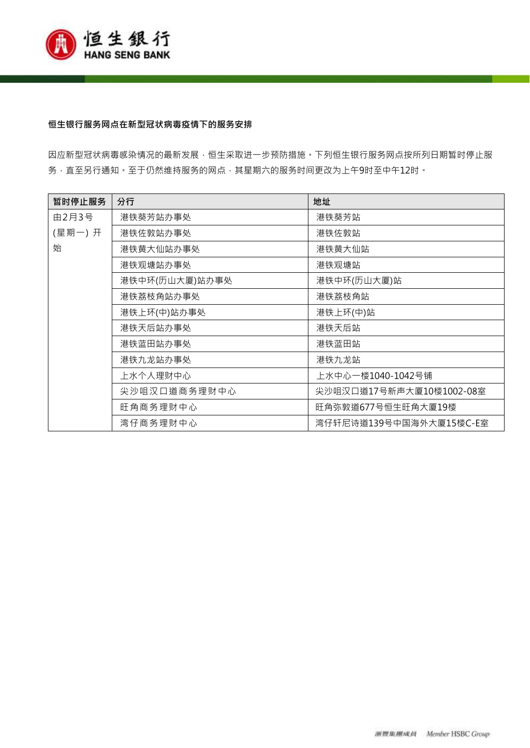

#### **恒生银行服务网点在新型冠状病毒疫情下的服务安排**

因应新型冠状病毒感染情况的最新发展,恒生采取进一步预防措施。下列恒生银行服务网点按所列日期暂时停止服 务, 直至另行通知。至于仍然维持服务的网点, 其星期六的服务时间更改为上午9时至中午12时。

| 暂时停止服务 | 分行             | 地址                       |
|--------|----------------|--------------------------|
| 由2月3号  | 港铁葵芳站办事处       | 港铁葵芳站                    |
| (星期一)开 | 港铁佐敦站办事处       | 港铁佐敦站                    |
| 始      | 港铁黄大仙站办事处      | 港铁黄大仙站                   |
|        | 港铁观塘站办事处       | 港铁观塘站                    |
|        | 港铁中环(历山大厦)站办事处 | 港铁中环(历山大厦)站              |
|        | 港铁荔枝角站办事处      | 港铁荔枝角站                   |
|        | 港铁上环(中)站办事处    | 港铁上环(中)站                 |
|        | 港铁天后站办事处       | 港铁天后站                    |
|        | 港铁蓝田站办事处       | 港铁蓝田站                    |
|        | 港铁九龙站办事处       | 港铁九龙站                    |
|        | 上水个人理财中心       | 上水中心一楼1040-1042号铺        |
|        | 尖沙咀汉口道商务理财中心   | 尖沙咀汉口道17号新声大厦10楼1002-08室 |
|        | 旺角商务理财中心       | 旺角弥敦道677号恒生旺角大厦19楼       |
|        | 湾仔商务理财中心       | 湾仔轩尼诗道139号中国海外大厦15楼C-E室  |